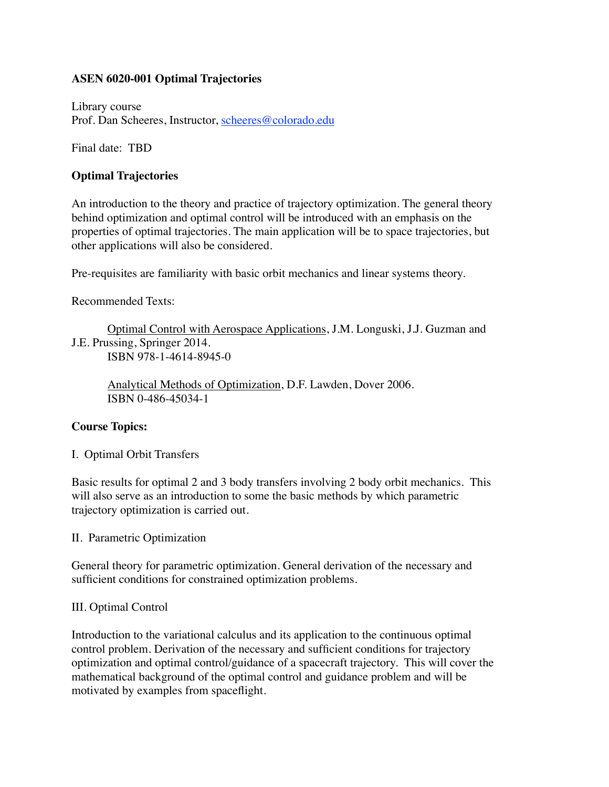# **ASEN 6020-001 Optimal Trajectories**

Library course Prof. Dan Scheeres, Instructor, [scheeres@colorado.edu](mailto:scheeres@colorado.edu)

Final date: TBD

## **Optimal Trajectories**

An introduction to the theory and practice of trajectory optimization. The general theory behind optimization and optimal control will be introduced with an emphasis on the properties of optimal trajectories. The main application will be to space trajectories, but other applications will also be considered.

Pre-requisites are familiarity with basic orbit mechanics and linear systems theory.

Recommended Texts:

Optimal Control with Aerospace Applications, J.M. Longuski, J.J. Guzman and J.E. Prussing, Springer 2014. ISBN 978-1-4614-8945-0

Analytical Methods of Optimization, D.F. Lawden, Dover 2006. ISBN 0-486-45034-1

# **Course Topics:**

I. Optimal Orbit Transfers

Basic results for optimal 2 and 3 body transfers involving 2 body orbit mechanics. This will also serve as an introduction to some the basic methods by which parametric trajectory optimization is carried out.

II. Parametric Optimization

General theory for parametric optimization. General derivation of the necessary and sufficient conditions for constrained optimization problems.

### III. Optimal Control

Introduction to the variational calculus and its application to the continuous optimal control problem. Derivation of the necessary and sufficient conditions for trajectory optimization and optimal control/guidance of a spacecraft trajectory. This will cover the mathematical background of the optimal control and guidance problem and will be motivated by examples from spaceflight.